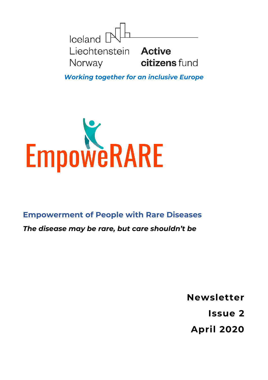

*Working together for an inclusive Europe*



**Empowerment of People with Rare Diseases**

*The disease may be rare, but care shouldn't be*

**Newsletter**

**Issue 2**

**April 2020**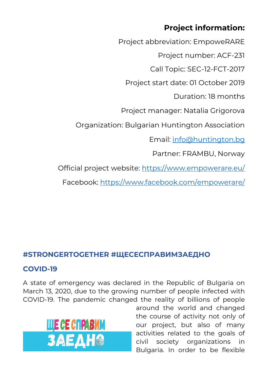# **Project information:**

Project abbreviation: EmpoweRARE Project number: ACF-231 Call Topic: SEC-12-FCT-2017 Project start date: 01 October 2019 Duration: 18 months Project manager: Natalia Grigorova Organization: Bulgarian Huntington Association Email: [info@huntington.bg](mailto:info@huntington.bg) Partner: FRAMBU, Norway Official project website:<https://www.empowerare.eu/> Facebook:<https://www.facebook.com/empowerare/>

## **#STRONGERTOGETHER #ЩЕСЕСПРАВИМЗАЕДНО**

## **COVID-19**

A state of emergency was declared in the Republic of Bulgaria on March 13, 2020, due to the growing number of people infected with COVID-19. The pandemic changed the reality of billions of people



around the world and changed the course of activity not only of our project, but also of many activities related to the goals of civil society organizations in Bulgaria. In order to be flexible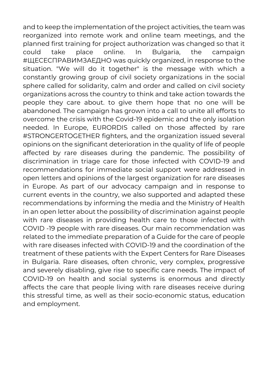and to keep the implementation of the project activities, the team was reorganized into remote work and online team meetings, and the planned first training for project authorization was changed so that it could take place online. In Bulgaria, the campaign #ЩЕСЕСПРАВИМЗАЕДНО was quickly organized, in response to the situation. "We will do it together" is the message with which a constantly growing group of civil society organizations in the social sphere called for solidarity, calm and order and called on civil society organizations across the country to think and take action towards the people they care about. to give them hope that no one will be abandoned. The campaign has grown into a call to unite all efforts to overcome the crisis with the Covid-19 epidemic and the only isolation needed. In Europe, EURORDIS called on those affected by rare #STRONGERTOGETHER fighters, and the organization issued several opinions on the significant deterioration in the quality of life of people affected by rare diseases during the pandemic. The possibility of discrimination in triage care for those infected with COVID-19 and recommendations for immediate social support were addressed in open letters and opinions of the largest organization for rare diseases in Europe. As part of our advocacy campaign and in response to current events in the country, we also supported and adapted these recommendations by informing the media and the Ministry of Health in an open letter about the possibility of discrimination against people with rare diseases in providing health care to those infected with COVID -19 people with rare diseases. Our main recommendation was related to the immediate preparation of a Guide for the care of people with rare diseases infected with COVID-19 and the coordination of the treatment of these patients with the Expert Centers for Rare Diseases in Bulgaria. Rare diseases, often chronic, very complex, progressive and severely disabling, give rise to specific care needs. The impact of COVID-19 on health and social systems is enormous and directly affects the care that people living with rare diseases receive during this stressful time, as well as their socio-economic status, education and employment.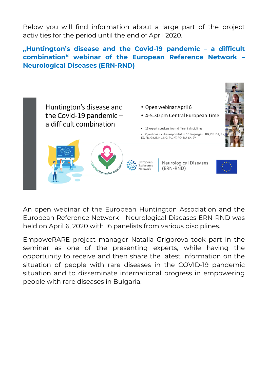Below you will find information about a large part of the project activities for the period until the end of April 2020.

## **"Huntington's disease and the Covid-19 pandemic – a difficult combination" webinar of the European Reference Network – Neurological Diseases (ERN-RND)**



An open webinar of the European Huntington Association and the European Reference Network - Neurological Diseases ERN-RND was held on April 6, 2020 with 16 panelists from various disciplines.

EmpoweRARE project manager Natalia Grigorova took part in the seminar as one of the presenting experts, while having the opportunity to receive and then share the latest information on the situation of people with rare diseases in the COVID-19 pandemic situation and to disseminate international progress in empowering people with rare diseases in Bulgaria.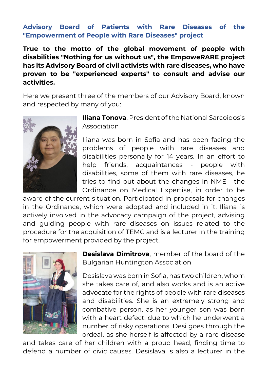#### **Advisory Board of Patients with Rare Diseases of the "Empowerment of People with Rare Diseases" project**

**True to the motto of the global movement of people with disabilities "Nothing for us without us", the EmpoweRARE project has its Advisory Board of civil activists with rare diseases, who have proven to be "experienced experts" to consult and advise our activities.**

Here we present three of the members of our Advisory Board, known and respected by many of you:



**Iliana Tonova**, President of the National Sarcoidosis Association

Iliana was born in Sofia and has been facing the problems of people with rare diseases and disabilities personally for 14 years. In an effort to help friends, acquaintances - people with disabilities, some of them with rare diseases, he tries to find out about the changes in NME - the Ordinance on Medical Expertise, in order to be

aware of the current situation. Participated in proposals for changes in the Ordinance, which were adopted and included in it. Iliana is actively involved in the advocacy campaign of the project, advising and guiding people with rare diseases on issues related to the procedure for the acquisition of TEMC and is a lecturer in the training for empowerment provided by the project.



**Desislava Dimitrova**, member of the board of the Bulgarian Huntington Association

Desislava was born in Sofia, has two children, whom she takes care of, and also works and is an active advocate for the rights of people with rare diseases and disabilities. She is an extremely strong and combative person, as her younger son was born with a heart defect, due to which he underwent a number of risky operations. Desi goes through the ordeal, as she herself is affected by a rare disease

and takes care of her children with a proud head, finding time to defend a number of civic causes. Desislava is also a lecturer in the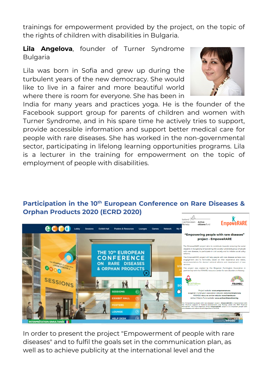trainings for empowerment provided by the project, on the topic of the rights of children with disabilities in Bulgaria.

**Lila Angelova**, founder of Turner Syndrome **Bulgaria** 

Lila was born in Sofia and grew up during the turbulent years of the new democracy. She would like to live in a fairer and more beautiful world where there is room for everyone. She has been in



India for many years and practices yoga. He is the founder of the Facebook support group for parents of children and women with Turner Syndrome, and in his spare time he actively tries to support, provide accessible information and support better medical care for people with rare diseases. She has worked in the non-governmental sector, participating in lifelong learning opportunities programs. Lila is a lecturer in the training for empowerment on the topic of employment of people with disabilities.

#### **Participation in the 10th European Conference on Rare Diseases & Orphan Products 2020 (ECRD 2020)**



In order to present the project "Empowerment of people with rare diseases" and to fulfil the goals set in the communication plan, as well as to achieve publicity at the international level and the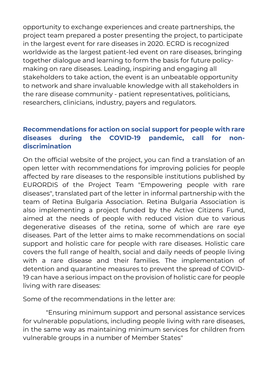opportunity to exchange experiences and create partnerships, the project team prepared a poster presenting the project, to participate in the largest event for rare diseases in 2020. ECRD is recognized worldwide as the largest patient-led event on rare diseases, bringing together dialogue and learning to form the basis for future policymaking on rare diseases. Leading, inspiring and engaging all stakeholders to take action, the event is an unbeatable opportunity to network and share invaluable knowledge with all stakeholders in the rare disease community - patient representatives, politicians, researchers, clinicians, industry, payers and regulators.

## **Recommendations for action on social support for people with rare diseases during the COVID-19 pandemic, call for nondiscrimination**

On the official website of the project, you can find a translation of an open letter with recommendations for improving policies for people affected by rare diseases to the responsible institutions published by EURORDIS of the Project Team "Empowering people with rare diseases", translated part of the letter in informal partnership with the team of Retina Bulgaria Association. Retina Bulgaria Association is also implementing a project funded by the Active Citizens Fund, aimed at the needs of people with reduced vision due to various degenerative diseases of the retina, some of which are rare eye diseases. Part of the letter aims to make recommendations on social support and holistic care for people with rare diseases. Holistic care covers the full range of health, social and daily needs of people living with a rare disease and their families. The implementation of detention and quarantine measures to prevent the spread of COVID-19 can have a serious impact on the provision of holistic care for people living with rare diseases:

Some of the recommendations in the letter are:

"Ensuring minimum support and personal assistance services for vulnerable populations, including people living with rare diseases, in the same way as maintaining minimum services for children from vulnerable groups in a number of Member States"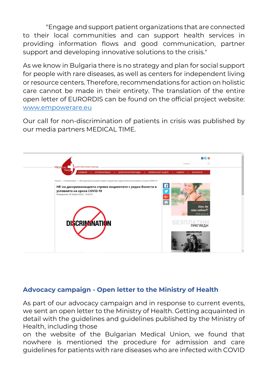"Engage and support patient organizations that are connected to their local communities and can support health services in providing information flows and good communication, partner support and developing innovative solutions to the crisis."

As we know in Bulgaria there is no strategy and plan for social support for people with rare diseases, as well as centers for independent living or resource centers. Therefore, recommendations for action on holistic care cannot be made in their entirety. The translation of the entire open letter of EURORDIS can be found on the official project website: [www.empowerare.eu](http://www.empowerare.eu/)

Our call for non-discrimination of patients in crisis was published by our media partners MEDICAL TIME.



#### **Advocacy campaign - Open letter to the Ministry of Health**

As part of our advocacy campaign and in response to current events, we sent an open letter to the Ministry of Health. Getting acquainted in detail with the guidelines and guidelines published by the Ministry of Health, including those

on the website of the Bulgarian Medical Union, we found that nowhere is mentioned the procedure for admission and care guidelines for patients with rare diseases who are infected with COVID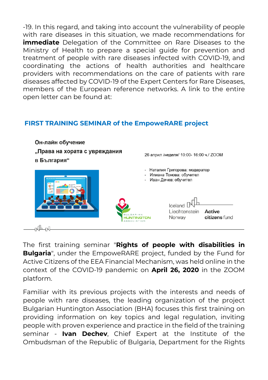-19. In this regard, and taking into account the vulnerability of people with rare diseases in this situation, we made recommendations for **immediate** Delegation of the Committee on Rare Diseases to the Ministry of Health to prepare a special guide for prevention and treatment of people with rare diseases infected with COVID-19, and coordinating the actions of health authorities and healthcare providers with recommendations on the care of patients with rare diseases affected by COVID-19 of the Expert Centers for Rare Diseases, members of the European reference networks. A link to the entire open letter can be found at:

## **FIRST TRAINING SEMINAR of the EmpoweRARE project**



The first training seminar "**Rights of people with disabilities in Bulgaria**", under the EmpoweRARE project, funded by the Fund for Active Citizens of the EEA Financial Mechanism, was held online in the context of the COVID-19 pandemic on **April 26, 2020** in the ZOOM platform.

Familiar with its previous projects with the interests and needs of people with rare diseases, the leading organization of the project Bulgarian Huntington Association (BHA) focuses this first training on providing information on key topics and legal regulation, inviting people with proven experience and practice in the field of the training seminar - **Ivan Dechev**, Chief Expert at the Institute of the Ombudsman of the Republic of Bulgaria, Department for the Rights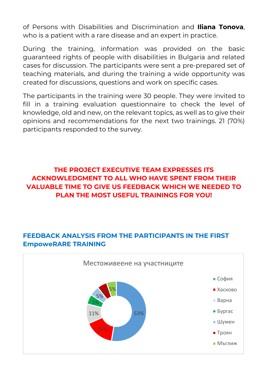of Persons with Disabilities and Discrimination and **Iliana Tonova**, who is a patient with a rare disease and an expert in practice.

During the training, information was provided on the basic guaranteed rights of people with disabilities in Bulgaria and related cases for discussion. The participants were sent a pre-prepared set of teaching materials, and during the training a wide opportunity was created for discussions, questions and work on specific cases.

The participants in the training were 30 people. They were invited to fill in a training evaluation questionnaire to check the level of knowledge, old and new, on the relevant topics, as well as to give their opinions and recommendations for the next two trainings. 21 (70%) participants responded to the survey.

## **THE PROJECT EXECUTIVE TEAM EXPRESSES ITS ACKNOWLEDGMENT TO ALL WHO HAVE SPENT FROM THEIR VALUABLE TIME TO GIVE US FEEDBACK WHICH WE NEEDED TO PLAN THE MOST USEFUL TRAININGS FOR YOU!**

## **FEEDBACK ANALYSIS FROM THE PARTICIPANTS IN THE FIRST EmpoweRARE TRAINING**

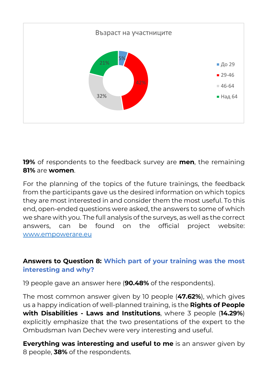

**19%** of respondents to the feedback survey are **men**, the remaining **81%** are **women**.

For the planning of the topics of the future trainings, the feedback from the participants gave us the desired information on which topics they are most interested in and consider them the most useful. To this end, open-ended questions were asked, the answers to some of which we share with you. The full analysis of the surveys, as well as the correct answers, can be found on the official project website: [www.empowerare.eu](http://www.empowerare.eu/)

## **Answers to Question 8: Which part of your training was the most interesting and why?**

19 people gave an answer here (**90.48%** of the respondents).

The most common answer given by 10 people (**47.62%**), which gives us a happy indication of well-planned training, is the **Rights of People with Disabilities - Laws and Institutions**, where 3 people (**14.29%**) explicitly emphasize that the two presentations of the expert to the Ombudsman Ivan Dechev were very interesting and useful.

**Everything was interesting and useful to me** is an answer given by 8 people, **38%** of the respondents.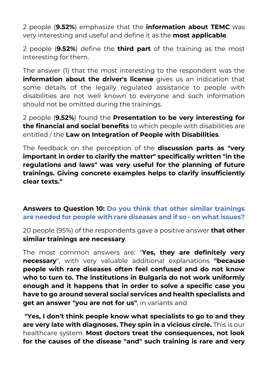2 people (**9.52%**) emphasize that the **information about TEMC** was very interesting and useful and define it as the **most applicable**.

2 people (**9.52%**) define the **third part** of the training as the most interesting for them.

The answer (1) that the most interesting to the respondent was the **information about the driver's license** gives us an indication that some details of the legally regulated assistance to people with disabilities are not well known to everyone and such information should not be omitted during the trainings.

2 people (**9.52%**) found the **Presentation to be very interesting for the financial and social benefits** to which people with disabilities are entitled / the **Law on Integration of People with Disabilities**.

The feedback on the perception of the **discussion parts as "very important in order to clarify the matter" specifically written "in the regulations and laws" was very useful for the planning of future trainings. Giving concrete examples helps to clarify insufficiently clear texts."**

### **Answers to Question 10: Do you think that other similar trainings are needed for people with rare diseases and if so - on what issues?**

20 people (95%) of the respondents gave a positive answer **that other similar trainings are necessary**.

The most common answers are: "**Yes, they are definitely very necessary**", with very valuable additional explanations **"because people with rare diseases often feel confused and do not know who to turn to. The institutions in Bulgaria do not work uniformly enough and it happens that in order to solve a specific case you have to go around several social services and health specialists and get an answer "you are not for us"**, in variants and

**"Yes, I don't think people know what specialists to go to and they are very late with diagnoses. They spin in a vicious circle.** This is our healthcare system. **Most doctors treat the consequences, not look for the causes of the disease "and" such training is rare and very**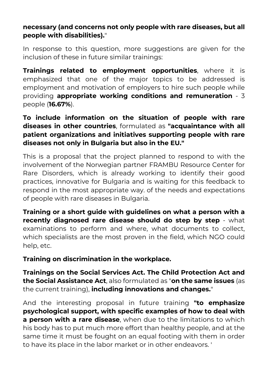### **necessary (and concerns not only people with rare diseases, but all people with disabilities).**"

In response to this question, more suggestions are given for the inclusion of these in future similar trainings:

**Trainings related to employment opportunities**, where it is emphasized that one of the major topics to be addressed is employment and motivation of employers to hire such people while providing **appropriate working conditions and remuneration** - 3 people (**16.67%**).

## **To include information on the situation of people with rare diseases in other countries**, formulated as **"acquaintance with all patient organizations and initiatives supporting people with rare diseases not only in Bulgaria but also in the EU."**

This is a proposal that the project planned to respond to with the involvement of the Norwegian partner FRAMBU Resource Center for Rare Disorders, which is already working to identify their good practices, innovative for Bulgaria and is waiting for this feedback to respond in the most appropriate way. of the needs and expectations of people with rare diseases in Bulgaria.

**Training or a short guide with guidelines on what a person with a recently diagnosed rare disease should do step by step** - what examinations to perform and where, what documents to collect, which specialists are the most proven in the field, which NGO could help, etc.

**Training on discrimination in the workplace.**

**Trainings on the Social Services Act. The Child Protection Act and the Social Assistance Act**, also formulated as "**on the same issues** (as the current training), **including innovations and changes.**"

And the interesting proposal in future training **"to emphasize psychological support, with specific examples of how to deal with a person with a rare disease**, when due to the limitations to which his body has to put much more effort than healthy people, and at the same time it must be fought on an equal footing with them in order to have its place in the labor market or in other endeavors. '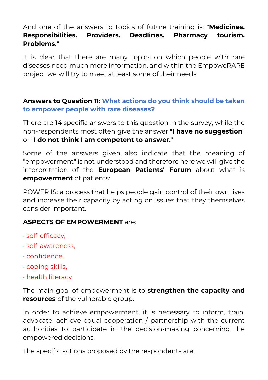## And one of the answers to topics of future training is: "**Medicines. Responsibilities. Providers. Deadlines. Pharmacy tourism. Problems.**"

It is clear that there are many topics on which people with rare diseases need much more information, and within the EmpoweRARE project we will try to meet at least some of their needs.

### **Answers to Question 11: What actions do you think should be taken to empower people with rare diseases?**

There are 14 specific answers to this question in the survey, while the non-respondents most often give the answer "**I have no suggestion**" or "**I do not think I am competent to answer.**"

Some of the answers given also indicate that the meaning of "empowerment" is not understood and therefore here we will give the interpretation of the **European Patients' Forum** about what is **empowerment** of patients:

POWER IS: a process that helps people gain control of their own lives and increase their capacity by acting on issues that they themselves consider important.

#### **ASPECTS OF EMPOWERMENT** are:

- self-efficacy,
- self-awareness,
- confidence,
- coping skills,
- health literacy

The main goal of empowerment is to **strengthen the capacity and resources** of the vulnerable group.

In order to achieve empowerment, it is necessary to inform, train, advocate, achieve equal cooperation / partnership with the current authorities to participate in the decision-making concerning the empowered decisions.

The specific actions proposed by the respondents are: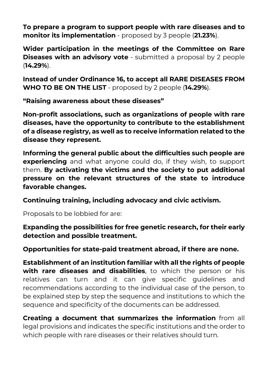**To prepare a program to support people with rare diseases and to monitor its implementation** - proposed by 3 people (**21.23%**).

**Wider participation in the meetings of the Committee on Rare Diseases with an advisory vote** - submitted a proposal by 2 people (**14.29%**).

**Instead of under Ordinance 16, to accept all RARE DISEASES FROM WHO TO BE ON THE LIST** - proposed by 2 people (**14.29%**).

**"Raising awareness about these diseases"**

**Non-profit associations, such as organizations of people with rare diseases, have the opportunity to contribute to the establishment of a disease registry, as well as to receive information related to the disease they represent.**

**Informing the general public about the difficulties such people are experiencing** and what anyone could do, if they wish, to support them. **By activating the victims and the society to put additional pressure on the relevant structures of the state to introduce favorable changes.**

**Continuing training, including advocacy and civic activism.**

Proposals to be lobbied for are:

**Expanding the possibilities for free genetic research, for their early detection and possible treatment.**

**Opportunities for state-paid treatment abroad, if there are none.**

**Establishment of an institution familiar with all the rights of people with rare diseases and disabilities**, to which the person or his relatives can turn and it can give specific guidelines and recommendations according to the individual case of the person, to be explained step by step the sequence and institutions to which the sequence and specificity of the documents can be addressed.

**Creating a document that summarizes the information** from all legal provisions and indicates the specific institutions and the order to which people with rare diseases or their relatives should turn.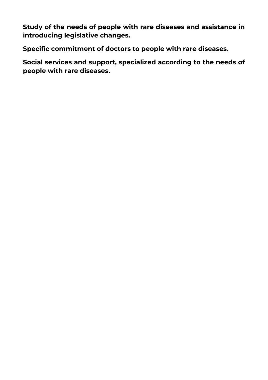**Study of the needs of people with rare diseases and assistance in introducing legislative changes.**

**Specific commitment of doctors to people with rare diseases.**

**Social services and support, specialized according to the needs of people with rare diseases.**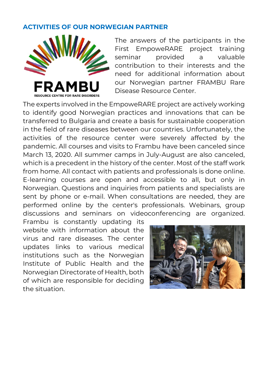#### **ACTIVITIES OF OUR NORWEGIAN PARTNER**



The answers of the participants in the First EmpoweRARE project training seminar provided a valuable contribution to their interests and the need for additional information about our Norwegian partner FRAMBU Rare Disease Resource Center.

The experts involved in the EmpoweRARE project are actively working to identify good Norwegian practices and innovations that can be transferred to Bulgaria and create a basis for sustainable cooperation in the field of rare diseases between our countries. Unfortunately, the activities of the resource center were severely affected by the pandemic. All courses and visits to Frambu have been canceled since March 13, 2020. All summer camps in July-August are also canceled, which is a precedent in the history of the center. Most of the staff work from home. All contact with patients and professionals is done online. E-learning courses are open and accessible to all, but only in Norwegian. Questions and inquiries from patients and specialists are sent by phone or e-mail. When consultations are needed, they are performed online by the center's professionals. Webinars, group discussions and seminars on videoconferencing are organized.

Frambu is constantly updating its website with information about the virus and rare diseases. The center updates links to various medical institutions such as the Norwegian Institute of Public Health and the Norwegian Directorate of Health, both of which are responsible for deciding the situation.